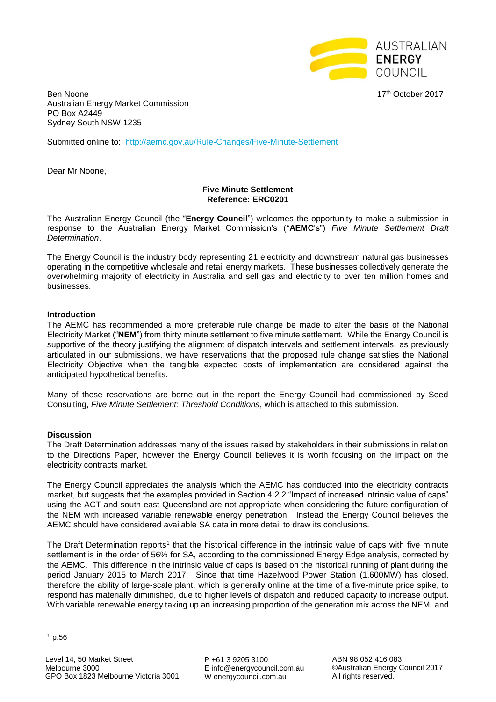

Ben Noone 17th October 2017 Australian Energy Market Commission PO Box A2449 Sydney South NSW 1235

Submitted online to: <http://aemc.gov.au/Rule-Changes/Five-Minute-Settlement>

Dear Mr Noone,

## **Five Minute Settlement Reference: ERC0201**

The Australian Energy Council (the "**Energy Council**") welcomes the opportunity to make a submission in response to the Australian Energy Market Commission's ("**AEMC**'s") *Five Minute Settlement Draft Determination*.

The Energy Council is the industry body representing 21 electricity and downstream natural gas businesses operating in the competitive wholesale and retail energy markets. These businesses collectively generate the overwhelming majority of electricity in Australia and sell gas and electricity to over ten million homes and businesses.

## **Introduction**

The AEMC has recommended a more preferable rule change be made to alter the basis of the National Electricity Market ("**NEM**") from thirty minute settlement to five minute settlement. While the Energy Council is supportive of the theory justifying the alignment of dispatch intervals and settlement intervals, as previously articulated in our submissions, we have reservations that the proposed rule change satisfies the National Electricity Objective when the tangible expected costs of implementation are considered against the anticipated hypothetical benefits.

Many of these reservations are borne out in the report the Energy Council had commissioned by Seed Consulting, *Five Minute Settlement: Threshold Conditions*, which is attached to this submission.

#### **Discussion**

The Draft Determination addresses many of the issues raised by stakeholders in their submissions in relation to the Directions Paper, however the Energy Council believes it is worth focusing on the impact on the electricity contracts market.

The Energy Council appreciates the analysis which the AEMC has conducted into the electricity contracts market, but suggests that the examples provided in Section 4.2.2 "Impact of increased intrinsic value of caps" using the ACT and south-east Queensland are not appropriate when considering the future configuration of the NEM with increased variable renewable energy penetration. Instead the Energy Council believes the AEMC should have considered available SA data in more detail to draw its conclusions.

The Draft Determination reports<sup>1</sup> that the historical difference in the intrinsic value of caps with five minute settlement is in the order of 56% for SA, according to the commissioned Energy Edge analysis, corrected by the AEMC. This difference in the intrinsic value of caps is based on the historical running of plant during the period January 2015 to March 2017. Since that time Hazelwood Power Station (1,600MW) has closed, therefore the ability of large-scale plant, which is generally online at the time of a five-minute price spike, to respond has materially diminished, due to higher levels of dispatch and reduced capacity to increase output. With variable renewable energy taking up an increasing proportion of the generation mix across the NEM, and

 $\overline{a}$ 

P +61 3 9205 3100 E info@energycouncil.com.au W energycouncil.com.au

ABN 98 052 416 083 ©Australian Energy Council 2017 All rights reserved.

 $1$  p.56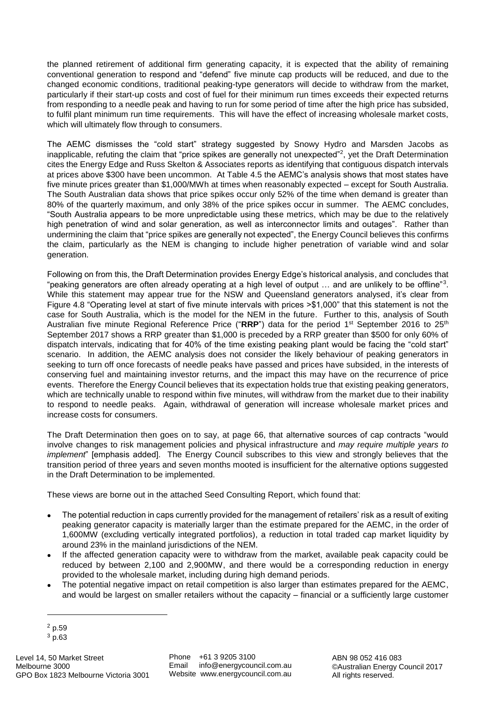the planned retirement of additional firm generating capacity, it is expected that the ability of remaining conventional generation to respond and "defend" five minute cap products will be reduced, and due to the changed economic conditions, traditional peaking-type generators will decide to withdraw from the market, particularly if their start-up costs and cost of fuel for their minimum run times exceeds their expected returns from responding to a needle peak and having to run for some period of time after the high price has subsided, to fulfil plant minimum run time requirements. This will have the effect of increasing wholesale market costs, which will ultimately flow through to consumers.

The AEMC dismisses the "cold start" strategy suggested by Snowy Hydro and Marsden Jacobs as inapplicable, refuting the claim that "price spikes are generally not unexpected"<sup>2</sup>, yet the Draft Determination cites the Energy Edge and Russ Skelton & Associates reports as identifying that contiguous dispatch intervals at prices above \$300 have been uncommon. At Table 4.5 the AEMC's analysis shows that most states have five minute prices greater than \$1,000/MWh at times when reasonably expected – except for South Australia. The South Australian data shows that price spikes occur only 52% of the time when demand is greater than 80% of the quarterly maximum, and only 38% of the price spikes occur in summer. The AEMC concludes, "South Australia appears to be more unpredictable using these metrics, which may be due to the relatively high penetration of wind and solar generation, as well as interconnector limits and outages". Rather than undermining the claim that "price spikes are generally not expected", the Energy Council believes this confirms the claim, particularly as the NEM is changing to include higher penetration of variable wind and solar generation.

Following on from this, the Draft Determination provides Energy Edge's historical analysis, and concludes that "peaking generators are often already operating at a high level of output  $\ldots$  and are unlikely to be offline" 3. While this statement may appear true for the NSW and Queensland generators analysed, it's clear from Figure 4.8 "Operating level at start of five minute intervals with prices >\$1,000" that this statement is not the case for South Australia, which is the model for the NEM in the future. Further to this, analysis of South Australian five minute Regional Reference Price ("**RRP**") data for the period 1st September 2016 to 25th September 2017 shows a RRP greater than \$1,000 is preceded by a RRP greater than \$500 for only 60% of dispatch intervals, indicating that for 40% of the time existing peaking plant would be facing the "cold start" scenario. In addition, the AEMC analysis does not consider the likely behaviour of peaking generators in seeking to turn off once forecasts of needle peaks have passed and prices have subsided, in the interests of conserving fuel and maintaining investor returns, and the impact this may have on the recurrence of price events. Therefore the Energy Council believes that its expectation holds true that existing peaking generators, which are technically unable to respond within five minutes, will withdraw from the market due to their inability to respond to needle peaks. Again, withdrawal of generation will increase wholesale market prices and increase costs for consumers.

The Draft Determination then goes on to say, at page 66, that alternative sources of cap contracts "would involve changes to risk management policies and physical infrastructure and *may require multiple years to implement*" [emphasis added]. The Energy Council subscribes to this view and strongly believes that the transition period of three years and seven months mooted is insufficient for the alternative options suggested in the Draft Determination to be implemented.

These views are borne out in the attached Seed Consulting Report, which found that:

- The potential reduction in caps currently provided for the management of retailers' risk as a result of exiting peaking generator capacity is materially larger than the estimate prepared for the AEMC, in the order of 1,600MW (excluding vertically integrated portfolios), a reduction in total traded cap market liquidity by around 23% in the mainland jurisdictions of the NEM.
- If the affected generation capacity were to withdraw from the market, available peak capacity could be reduced by between 2,100 and 2,900MW, and there would be a corresponding reduction in energy provided to the wholesale market, including during high demand periods.
- The potential negative impact on retail competition is also larger than estimates prepared for the AEMC, and would be largest on smaller retailers without the capacity – financial or a sufficiently large customer

-

<sup>2</sup> p.59

<sup>3</sup> p.63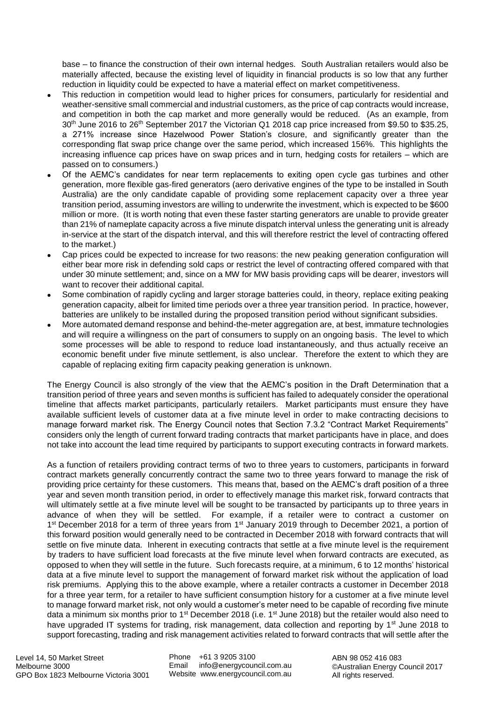base – to finance the construction of their own internal hedges. South Australian retailers would also be materially affected, because the existing level of liquidity in financial products is so low that any further reduction in liquidity could be expected to have a material effect on market competitiveness.

- This reduction in competition would lead to higher prices for consumers, particularly for residential and weather-sensitive small commercial and industrial customers, as the price of cap contracts would increase, and competition in both the cap market and more generally would be reduced. (As an example, from 30<sup>th</sup> June 2016 to 26<sup>th</sup> September 2017 the Victorian Q1 2018 cap price increased from \$9.50 to \$35.25, a 271% increase since Hazelwood Power Station's closure, and significantly greater than the corresponding flat swap price change over the same period, which increased 156%. This highlights the increasing influence cap prices have on swap prices and in turn, hedging costs for retailers – which are passed on to consumers.)
- Of the AEMC's candidates for near term replacements to exiting open cycle gas turbines and other generation, more flexible gas-fired generators (aero derivative engines of the type to be installed in South Australia) are the only candidate capable of providing some replacement capacity over a three year transition period, assuming investors are willing to underwrite the investment, which is expected to be \$600 million or more. (It is worth noting that even these faster starting generators are unable to provide greater than 21% of nameplate capacity across a five minute dispatch interval unless the generating unit is already in-service at the start of the dispatch interval, and this will therefore restrict the level of contracting offered to the market.)
- Cap prices could be expected to increase for two reasons: the new peaking generation configuration will either bear more risk in defending sold caps or restrict the level of contracting offered compared with that under 30 minute settlement; and, since on a MW for MW basis providing caps will be dearer, investors will want to recover their additional capital.
- Some combination of rapidly cycling and larger storage batteries could, in theory, replace exiting peaking generation capacity, albeit for limited time periods over a three year transition period. In practice, however, batteries are unlikely to be installed during the proposed transition period without significant subsidies.
- More automated demand response and behind-the-meter aggregation are, at best, immature technologies and will require a willingness on the part of consumers to supply on an ongoing basis. The level to which some processes will be able to respond to reduce load instantaneously, and thus actually receive an economic benefit under five minute settlement, is also unclear. Therefore the extent to which they are capable of replacing exiting firm capacity peaking generation is unknown.

The Energy Council is also strongly of the view that the AEMC's position in the Draft Determination that a transition period of three years and seven months is sufficient has failed to adequately consider the operational timeline that affects market participants, particularly retailers. Market participants must ensure they have available sufficient levels of customer data at a five minute level in order to make contracting decisions to manage forward market risk. The Energy Council notes that Section 7.3.2 "Contract Market Requirements" considers only the length of current forward trading contracts that market participants have in place, and does not take into account the lead time required by participants to support executing contracts in forward markets.

As a function of retailers providing contract terms of two to three years to customers, participants in forward contract markets generally concurrently contract the same two to three years forward to manage the risk of providing price certainty for these customers. This means that, based on the AEMC's draft position of a three year and seven month transition period, in order to effectively manage this market risk, forward contracts that will ultimately settle at a five minute level will be sought to be transacted by participants up to three years in advance of when they will be settled. For example, if a retailer were to contract a customer on 1<sup>st</sup> December 2018 for a term of three years from 1<sup>st</sup> January 2019 through to December 2021, a portion of this forward position would generally need to be contracted in December 2018 with forward contracts that will settle on five minute data. Inherent in executing contracts that settle at a five minute level is the requirement by traders to have sufficient load forecasts at the five minute level when forward contracts are executed, as opposed to when they will settle in the future. Such forecasts require, at a minimum, 6 to 12 months' historical data at a five minute level to support the management of forward market risk without the application of load risk premiums. Applying this to the above example, where a retailer contracts a customer in December 2018 for a three year term, for a retailer to have sufficient consumption history for a customer at a five minute level to manage forward market risk, not only would a customer's meter need to be capable of recording five minute data a minimum six months prior to 1<sup>st</sup> December 2018 (i.e. 1<sup>st</sup> June 2018) but the retailer would also need to have upgraded IT systems for trading, risk management, data collection and reporting by 1<sup>st</sup> June 2018 to support forecasting, trading and risk management activities related to forward contracts that will settle after the

Phone +61 3 9205 3100 Email info@energycouncil.com.au Website www.energycouncil.com.au

ABN 98 052 416 083 ©Australian Energy Council 2017 All rights reserved.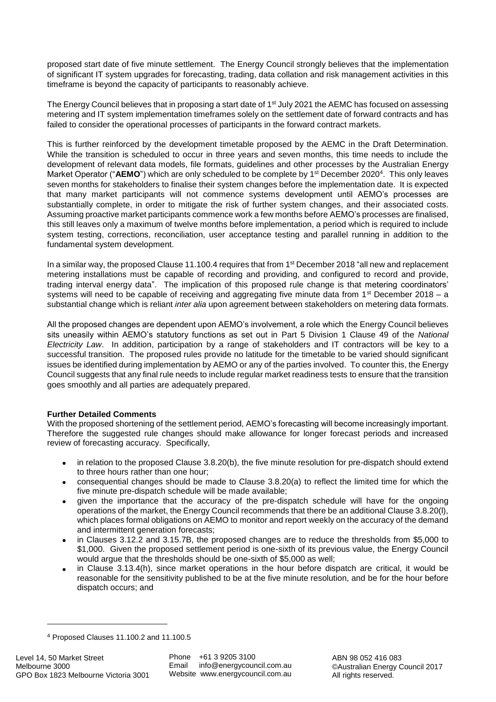proposed start date of five minute settlement. The Energy Council strongly believes that the implementation of significant IT system upgrades for forecasting, trading, data collation and risk management activities in this timeframe is beyond the capacity of participants to reasonably achieve.

The Energy Council believes that in proposing a start date of 1<sup>st</sup> July 2021 the AEMC has focused on assessing metering and IT system implementation timeframes solely on the settlement date of forward contracts and has failed to consider the operational processes of participants in the forward contract markets.

This is further reinforced by the development timetable proposed by the AEMC in the Draft Determination. While the transition is scheduled to occur in three years and seven months, this time needs to include the development of relevant data models, file formats, guidelines and other processes by the Australian Energy Market Operator ("AEMO") which are only scheduled to be complete by 1<sup>st</sup> December 2020<sup>4</sup>. This only leaves seven months for stakeholders to finalise their system changes before the implementation date. It is expected that many market participants will not commence systems development until AEMO's processes are substantially complete, in order to mitigate the risk of further system changes, and their associated costs. Assuming proactive market participants commence work a few months before AEMO's processes are finalised, this still leaves only a maximum of twelve months before implementation, a period which is required to include system testing, corrections, reconciliation, user acceptance testing and parallel running in addition to the fundamental system development.

In a similar way, the proposed Clause 11.100.4 requires that from 1<sup>st</sup> December 2018 "all new and replacement metering installations must be capable of recording and providing, and configured to record and provide, trading interval energy data". The implication of this proposed rule change is that metering coordinators' systems will need to be capable of receiving and aggregating five minute data from  $1<sup>st</sup>$  December 2018 – a substantial change which is reliant *inter alia* upon agreement between stakeholders on metering data formats.

All the proposed changes are dependent upon AEMO's involvement, a role which the Energy Council believes sits uneasily within AEMO's statutory functions as set out in Part 5 Division 1 Clause 49 of the *National Electricity Law*. In addition, participation by a range of stakeholders and IT contractors will be key to a successful transition. The proposed rules provide no latitude for the timetable to be varied should significant issues be identified during implementation by AEMO or any of the parties involved. To counter this, the Energy Council suggests that any final rule needs to include regular market readiness tests to ensure that the transition goes smoothly and all parties are adequately prepared.

# **Further Detailed Comments**

With the proposed shortening of the settlement period, AEMO's forecasting will become increasingly important. Therefore the suggested rule changes should make allowance for longer forecast periods and increased review of forecasting accuracy. Specifically,

- in relation to the proposed Clause 3.8.20(b), the five minute resolution for pre-dispatch should extend to three hours rather than one hour;
- consequential changes should be made to Clause 3.8.20(a) to reflect the limited time for which the five minute pre-dispatch schedule will be made available;
- given the importance that the accuracy of the pre-dispatch schedule will have for the ongoing operations of the market, the Energy Council recommends that there be an additional Clause 3.8.20(l), which places formal obligations on AEMO to monitor and report weekly on the accuracy of the demand and intermittent generation forecasts;
- in Clauses 3.12.2 and 3.15.7B, the proposed changes are to reduce the thresholds from \$5,000 to \$1,000. Given the proposed settlement period is one-sixth of its previous value, the Energy Council would argue that the thresholds should be one-sixth of \$5,000 as well;
- in Clause 3.13.4(h), since market operations in the hour before dispatch are critical, it would be reasonable for the sensitivity published to be at the five minute resolution, and be for the hour before dispatch occurs; and

 $\overline{a}$ 

<sup>4</sup> Proposed Clauses 11.100.2 and 11.100.5